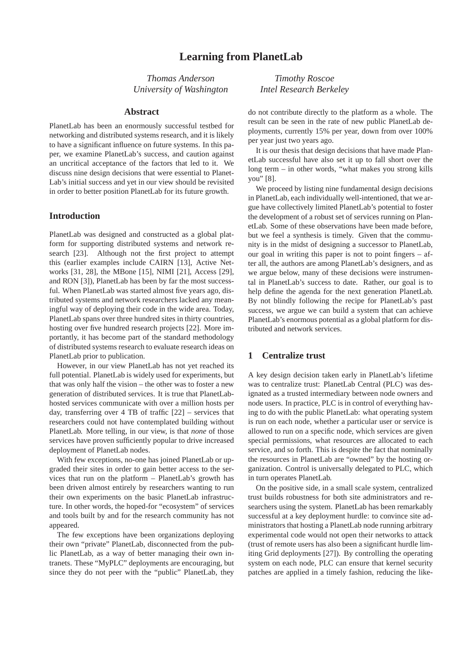*Thomas Anderson University of Washington*

#### **Abstract**

PlanetLab has been an enormously successful testbed for networking and distributed systems research, and it is likely to have a significant influence on future systems. In this paper, we examine PlanetLab's success, and caution against an uncritical acceptance of the factors that led to it. We discuss nine design decisions that were essential to Planet-Lab's initial success and yet in our view should be revisited in order to better position PlanetLab for its future growth.

#### **Introduction**

PlanetLab was designed and constructed as a global platform for supporting distributed systems and network research [23]. Although not the first project to attempt this (earlier examples include CAIRN [13], Active Networks [31, 28], the MBone [15], NIMI [21], Access [29], and RON [3]), PlanetLab has been by far the most successful. When PlanetLab was started almost five years ago, distributed systems and network researchers lacked any meaningful way of deploying their code in the wide area. Today, PlanetLab spans over three hundred sites in thirty countries, hosting over five hundred research projects [22]. More importantly, it has become part of the standard methodology of distributed systems research to evaluate research ideas on PlanetLab prior to publication.

However, in our view PlanetLab has not yet reached its full potential. PlanetLab is widely used for experiments, but that was only half the vision – the other was to foster a new generation of distributed services. It is true that PlanetLabhosted services communicate with over a million hosts per day, transferring over 4 TB of traffic [22] – services that researchers could not have contemplated building without PlanetLab. More telling, in our view, is that *none* of those services have proven sufficiently popular to drive increased deployment of PlanetLab nodes.

With few exceptions, no-one has joined PlanetLab or upgraded their sites in order to gain better access to the services that run on the platform – PlanetLab's growth has been driven almost entirely by researchers wanting to run their own experiments on the basic PlanetLab infrastructure. In other words, the hoped-for "ecosystem" of services and tools built by and for the research community has not appeared.

The few exceptions have been organizations deploying their own "private" PlanetLab, disconnected from the public PlanetLab, as a way of better managing their own intranets. These "MyPLC" deployments are encouraging, but since they do not peer with the "public" PlanetLab, they

*Timothy Roscoe Intel Research Berkeley*

do not contribute directly to the platform as a whole. The result can be seen in the rate of new public PlanetLab deployments, currently 15% per year, down from over 100% per year just two years ago.

It is our thesis that design decisions that have made PlanetLab successful have also set it up to fall short over the long term – in other words, "what makes you strong kills you" [8].

We proceed by listing nine fundamental design decisions in PlanetLab, each individually well-intentioned, that we argue have collectively limited PlanetLab's potential to foster the development of a robust set of services running on PlanetLab. Some of these observations have been made before, but we feel a synthesis is timely. Given that the community is in the midst of designing a successor to PlanetLab, our goal in writing this paper is not to point fingers – after all, the authors are among PlanetLab's designers, and as we argue below, many of these decisions were instrumental in PlanetLab's success to date. Rather, our goal is to help define the agenda for the next generation PlanetLab. By not blindly following the recipe for PlanetLab's past success, we argue we can build a system that can achieve PlanetLab's enormous potential as a global platform for distributed and network services.

# **1 Centralize trust**

A key design decision taken early in PlanetLab's lifetime was to centralize trust: PlanetLab Central (PLC) was designated as a trusted intermediary between node owners and node users. In practice, PLC is in control of everything having to do with the public PlanetLab: what operating system is run on each node, whether a particular user or service is allowed to run on a specific node, which services are given special permissions, what resources are allocated to each service, and so forth. This is despite the fact that nominally the resources in PlanetLab are "owned" by the hosting organization. Control is universally delegated to PLC, which in turn operates PlanetLab.

On the positive side, in a small scale system, centralized trust builds robustness for both site administrators and researchers using the system. PlanetLab has been remarkably successful at a key deployment hurdle: to convince site administrators that hosting a PlanetLab node running arbitrary experimental code would not open their networks to attack (trust of remote users has also been a significant hurdle limiting Grid deployments [27]). By controlling the operating system on each node, PLC can ensure that kernel security patches are applied in a timely fashion, reducing the like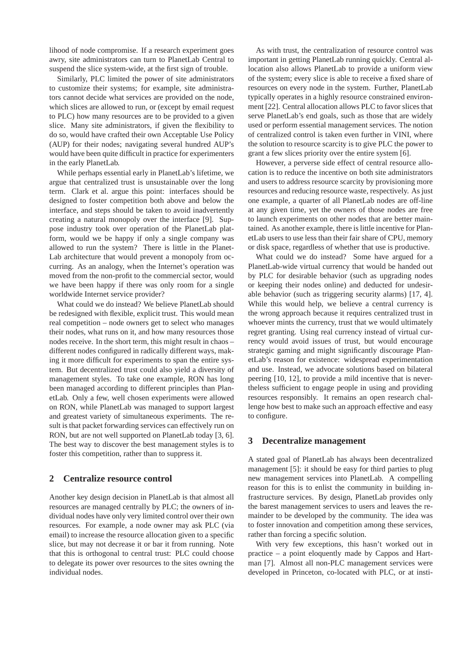lihood of node compromise. If a research experiment goes awry, site administrators can turn to PlanetLab Central to suspend the slice system-wide, at the first sign of trouble.

Similarly, PLC limited the power of site administrators to customize their systems; for example, site administrators cannot decide what services are provided on the node, which slices are allowed to run, or (except by email request to PLC) how many resources are to be provided to a given slice. Many site administrators, if given the flexibility to do so, would have crafted their own Acceptable Use Policy (AUP) for their nodes; navigating several hundred AUP's would have been quite difficult in practice for experimenters in the early PlanetLab.

While perhaps essential early in PlanetLab's lifetime, we argue that centralized trust is unsustainable over the long term. Clark et al. argue this point: interfaces should be designed to foster competition both above and below the interface, and steps should be taken to avoid inadvertently creating a natural monopoly over the interface [9]. Suppose industry took over operation of the PlanetLab platform, would we be happy if only a single company was allowed to run the system? There is little in the Planet-Lab architecture that would prevent a monopoly from occurring. As an analogy, when the Internet's operation was moved from the non-profit to the commercial sector, would we have been happy if there was only room for a single worldwide Internet service provider?

What could we do instead? We believe PlanetLab should be redesigned with flexible, explicit trust. This would mean real competition – node owners get to select who manages their nodes, what runs on it, and how many resources those nodes receive. In the short term, this might result in chaos – different nodes configured in radically different ways, making it more difficult for experiments to span the entire system. But decentralized trust could also yield a diversity of management styles. To take one example, RON has long been managed according to different principles than PlanetLab. Only a few, well chosen experiments were allowed on RON, while PlanetLab was managed to support largest and greatest variety of simultaneous experiments. The result is that packet forwarding services can effectively run on RON, but are not well supported on PlanetLab today [3, 6]. The best way to discover the best management styles is to foster this competition, rather than to suppress it.

### **2 Centralize resource control**

Another key design decision in PlanetLab is that almost all resources are managed centrally by PLC; the owners of individual nodes have only very limited control over their own resources. For example, a node owner may ask PLC (via email) to increase the resource allocation given to a specific slice, but may not decrease it or bar it from running. Note that this is orthogonal to central trust: PLC could choose to delegate its power over resources to the sites owning the individual nodes.

As with trust, the centralization of resource control was important in getting PlanetLab running quickly. Central allocation also allows PlanetLab to provide a uniform view of the system; every slice is able to receive a fixed share of resources on every node in the system. Further, PlanetLab typically operates in a highly resource constrained environment [22]. Central allocation allows PLC to favor slices that serve PlanetLab's end goals, such as those that are widely used or perform essential management services. The notion of centralized control is taken even further in VINI, where the solution to resource scarcity is to give PLC the power to grant a few slices priority over the entire system [6].

However, a perverse side effect of central resource allocation is to reduce the incentive on both site administrators and users to address resource scarcity by provisioning more resources and reducing resource waste, respectively. As just one example, a quarter of all PlanetLab nodes are off-line at any given time, yet the owners of those nodes are free to launch experiments on other nodes that are better maintained. As another example, there is little incentive for PlanetLab users to use less than their fair share of CPU, memory or disk space, regardless of whether that use is productive.

What could we do instead? Some have argued for a PlanetLab-wide virtual currency that would be handed out by PLC for desirable behavior (such as upgrading nodes or keeping their nodes online) and deducted for undesirable behavior (such as triggering security alarms) [17, 4]. While this would help, we believe a central currency is the wrong approach because it requires centralized trust in whoever mints the currency, trust that we would ultimately regret granting. Using real currency instead of virtual currency would avoid issues of trust, but would encourage strategic gaming and might significantly discourage PlanetLab's reason for existence: widespread experimentation and use. Instead, we advocate solutions based on bilateral peering [10, 12], to provide a mild incentive that is nevertheless sufficient to engage people in using and providing resources responsibly. It remains an open research challenge how best to make such an approach effective and easy to configure.

### **3 Decentralize management**

A stated goal of PlanetLab has always been decentralized management [5]: it should be easy for third parties to plug new management services into PlanetLab. A compelling reason for this is to enlist the community in building infrastructure services. By design, PlanetLab provides only the barest management services to users and leaves the remainder to be developed by the community. The idea was to foster innovation and competition among these services, rather than forcing a specific solution.

With very few exceptions, this hasn't worked out in practice – a point eloquently made by Cappos and Hartman [7]. Almost all non-PLC management services were developed in Princeton, co-located with PLC, or at insti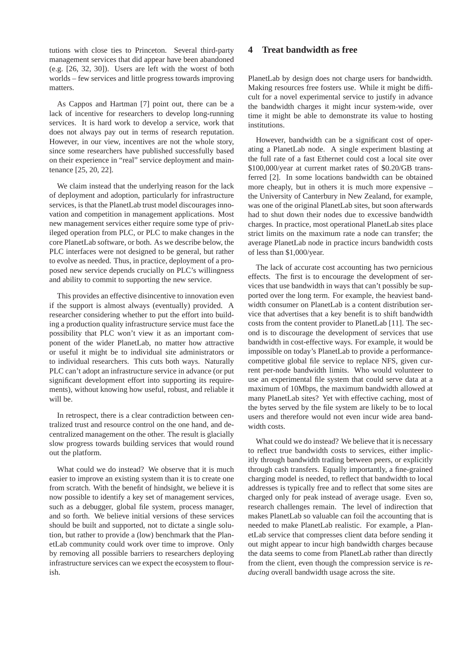tutions with close ties to Princeton. Several third-party management services that did appear have been abandoned (e.g. [26, 32, 30]). Users are left with the worst of both worlds – few services and little progress towards improving matters.

As Cappos and Hartman [7] point out, there can be a lack of incentive for researchers to develop long-running services. It is hard work to develop a service, work that does not always pay out in terms of research reputation. However, in our view, incentives are not the whole story, since some researchers have published successfully based on their experience in "real" service deployment and maintenance [25, 20, 22].

We claim instead that the underlying reason for the lack of deployment and adoption, particularly for infrastructure services, is that the PlanetLab trust model discourages innovation and competition in management applications. Most new management services either require some type of privileged operation from PLC, or PLC to make changes in the core PlanetLab software, or both. As we describe below, the PLC interfaces were not designed to be general, but rather to evolve as needed. Thus, in practice, deployment of a proposed new service depends crucially on PLC's willingness and ability to commit to supporting the new service.

This provides an effective disincentive to innovation even if the support is almost always (eventually) provided. A researcher considering whether to put the effort into building a production quality infrastructure service must face the possibility that PLC won't view it as an important component of the wider PlanetLab, no matter how attractive or useful it might be to individual site administrators or to individual researchers. This cuts both ways. Naturally PLC can't adopt an infrastructure service in advance (or put significant development effort into supporting its requirements), without knowing how useful, robust, and reliable it will be.

In retrospect, there is a clear contradiction between centralized trust and resource control on the one hand, and decentralized management on the other. The result is glacially slow progress towards building services that would round out the platform.

What could we do instead? We observe that it is much easier to improve an existing system than it is to create one from scratch. With the benefit of hindsight, we believe it is now possible to identify a key set of management services, such as a debugger, global file system, process manager, and so forth. We believe initial versions of these services should be built and supported, not to dictate a single solution, but rather to provide a (low) benchmark that the PlanetLab community could work over time to improve. Only by removing all possible barriers to researchers deploying infrastructure services can we expect the ecosystem to flourish.

### **4 Treat bandwidth as free**

PlanetLab by design does not charge users for bandwidth. Making resources free fosters use. While it might be difficult for a novel experimental service to justify in advance the bandwidth charges it might incur system-wide, over time it might be able to demonstrate its value to hosting institutions.

However, bandwidth can be a significant cost of operating a PlanetLab node. A single experiment blasting at the full rate of a fast Ethernet could cost a local site over \$100,000/year at current market rates of \$0.20/GB transferred [2]. In some locations bandwidth can be obtained more cheaply, but in others it is much more expensive – the University of Canterbury in New Zealand, for example, was one of the original PlanetLab sites, but soon afterwards had to shut down their nodes due to excessive bandwidth charges. In practice, most operational PlanetLab sites place strict limits on the maximum rate a node can transfer; the average PlanetLab node in practice incurs bandwidth costs of less than \$1,000/year.

The lack of accurate cost accounting has two pernicious effects. The first is to encourage the development of services that use bandwidth in ways that can't possibly be supported over the long term. For example, the heaviest bandwidth consumer on PlanetLab is a content distribution service that advertises that a key benefit is to shift bandwidth costs from the content provider to PlanetLab [11]. The second is to discourage the development of services that use bandwidth in cost-effective ways. For example, it would be impossible on today's PlanetLab to provide a performancecompetitive global file service to replace NFS, given current per-node bandwidth limits. Who would volunteer to use an experimental file system that could serve data at a maximum of 10Mbps, the maximum bandwidth allowed at many PlanetLab sites? Yet with effective caching, most of the bytes served by the file system are likely to be to local users and therefore would not even incur wide area bandwidth costs.

What could we do instead? We believe that it is necessary to reflect true bandwidth costs to services, either implicitly through bandwidth trading between peers, or explicitly through cash transfers. Equally importantly, a fine-grained charging model is needed, to reflect that bandwidth to local addresses is typically free and to reflect that some sites are charged only for peak instead of average usage. Even so, research challenges remain. The level of indirection that makes PlanetLab so valuable can foil the accounting that is needed to make PlanetLab realistic. For example, a PlanetLab service that compresses client data before sending it out might appear to incur high bandwidth charges because the data seems to come from PlanetLab rather than directly from the client, even though the compression service is *reducing* overall bandwidth usage across the site.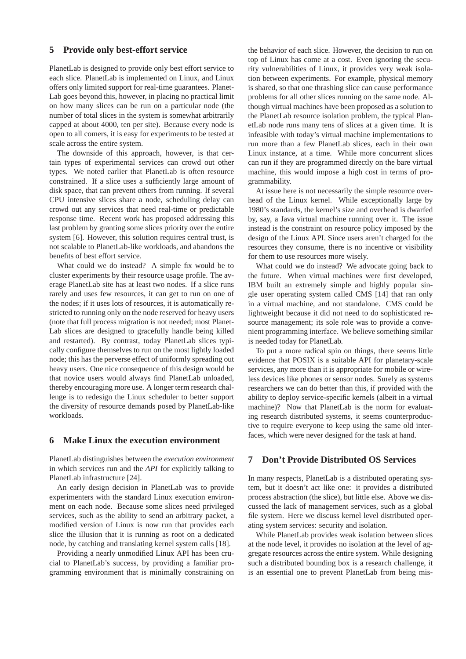#### **5 Provide only best-effort service**

PlanetLab is designed to provide only best effort service to each slice. PlanetLab is implemented on Linux, and Linux offers only limited support for real-time guarantees. Planet-Lab goes beyond this, however, in placing no practical limit on how many slices can be run on a particular node (the number of total slices in the system is somewhat arbitrarily capped at about 4000, ten per site). Because every node is open to all comers, it is easy for experiments to be tested at scale across the entire system.

The downside of this approach, however, is that certain types of experimental services can crowd out other types. We noted earlier that PlanetLab is often resource constrained. If a slice uses a sufficiently large amount of disk space, that can prevent others from running. If several CPU intensive slices share a node, scheduling delay can crowd out any services that need real-time or predictable response time. Recent work has proposed addressing this last problem by granting some slices priority over the entire system [6]. However, this solution requires central trust, is not scalable to PlanetLab-like workloads, and abandons the benefits of best effort service.

What could we do instead? A simple fix would be to cluster experiments by their resource usage profile. The average PlanetLab site has at least two nodes. If a slice runs rarely and uses few resources, it can get to run on one of the nodes; if it uses lots of resources, it is automatically restricted to running only on the node reserved for heavy users (note that full process migration is not needed; most Planet-Lab slices are designed to gracefully handle being killed and restarted). By contrast, today PlanetLab slices typically configure themselves to run on the most lightly loaded node; this has the perverse effect of uniformly spreading out heavy users. One nice consequence of this design would be that novice users would always find PlanetLab unloaded, thereby encouraging more use. A longer term research challenge is to redesign the Linux scheduler to better support the diversity of resource demands posed by PlanetLab-like workloads.

### **6 Make Linux the execution environment**

PlanetLab distinguishes between the *execution environment* in which services run and the *API* for explicitly talking to PlanetLab infrastructure [24].

An early design decision in PlanetLab was to provide experimenters with the standard Linux execution environment on each node. Because some slices need privileged services, such as the ability to send an arbitrary packet, a modified version of Linux is now run that provides each slice the illusion that it is running as root on a dedicated node, by catching and translating kernel system calls [18].

Providing a nearly unmodified Linux API has been crucial to PlanetLab's success, by providing a familiar programming environment that is minimally constraining on

the behavior of each slice. However, the decision to run on top of Linux has come at a cost. Even ignoring the security vulnerabilities of Linux, it provides very weak isolation between experiments. For example, physical memory is shared, so that one thrashing slice can cause performance problems for all other slices running on the same node. Although virtual machines have been proposed as a solution to the PlanetLab resource isolation problem, the typical PlanetLab node runs many tens of slices at a given time. It is infeasible with today's virtual machine implementations to run more than a few PlanetLab slices, each in their own Linux instance, at a time. While more concurrent slices can run if they are programmed directly on the bare virtual machine, this would impose a high cost in terms of programmability.

At issue here is not necessarily the simple resource overhead of the Linux kernel. While exceptionally large by 1980's standards, the kernel's size and overhead is dwarfed by, say, a Java virtual machine running over it. The issue instead is the constraint on resource policy imposed by the design of the Linux API. Since users aren't charged for the resources they consume, there is no incentive or visibility for them to use resources more wisely.

What could we do instead? We advocate going back to the future. When virtual machines were first developed, IBM built an extremely simple and highly popular single user operating system called CMS [14] that ran only in a virtual machine, and not standalone. CMS could be lightweight because it did not need to do sophisticated resource management; its sole role was to provide a convenient programming interface. We believe something similar is needed today for PlanetLab.

To put a more radical spin on things, there seems little evidence that POSIX is a suitable API for planetary-scale services, any more than it is appropriate for mobile or wireless devices like phones or sensor nodes. Surely as systems researchers we can do better than this, if provided with the ability to deploy service-specific kernels (albeit in a virtual machine)? Now that PlanetLab is the norm for evaluating research distributed systems, it seems counterproductive to require everyone to keep using the same old interfaces, which were never designed for the task at hand.

### **7 Don't Provide Distributed OS Services**

In many respects, PlanetLab is a distributed operating system, but it doesn't act like one: it provides a distributed process abstraction (the slice), but little else. Above we discussed the lack of management services, such as a global file system. Here we discuss kernel level distributed operating system services: security and isolation.

While PlanetLab provides weak isolation between slices at the node level, it provides no isolation at the level of aggregate resources across the entire system. While designing such a distributed bounding box is a research challenge, it is an essential one to prevent PlanetLab from being mis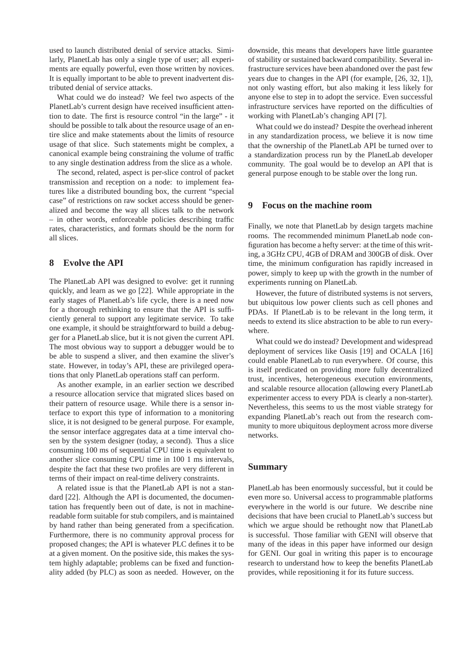used to launch distributed denial of service attacks. Similarly, PlanetLab has only a single type of user; all experiments are equally powerful, even those written by novices. It is equally important to be able to prevent inadvertent distributed denial of service attacks.

What could we do instead? We feel two aspects of the PlanetLab's current design have received insufficient attention to date. The first is resource control "in the large" - it should be possible to talk about the resource usage of an entire slice and make statements about the limits of resource usage of that slice. Such statements might be complex, a canonical example being constraining the volume of traffic to any single destination address from the slice as a whole.

The second, related, aspect is per-slice control of packet transmission and reception on a node: to implement features like a distributed bounding box, the current "special case" of restrictions on raw socket access should be generalized and become the way all slices talk to the network – in other words, enforceable policies describing traffic rates, characteristics, and formats should be the norm for all slices.

## **8 Evolve the API**

The PlanetLab API was designed to evolve: get it running quickly, and learn as we go [22]. While appropriate in the early stages of PlanetLab's life cycle, there is a need now for a thorough rethinking to ensure that the API is sufficiently general to support any legitimate service. To take one example, it should be straightforward to build a debugger for a PlanetLab slice, but it is not given the current API. The most obvious way to support a debugger would be to be able to suspend a sliver, and then examine the sliver's state. However, in today's API, these are privileged operations that only PlanetLab operations staff can perform.

As another example, in an earlier section we described a resource allocation service that migrated slices based on their pattern of resource usage. While there is a sensor interface to export this type of information to a monitoring slice, it is not designed to be general purpose. For example, the sensor interface aggregates data at a time interval chosen by the system designer (today, a second). Thus a slice consuming 100 ms of sequential CPU time is equivalent to another slice consuming CPU time in 100 1 ms intervals, despite the fact that these two profiles are very different in terms of their impact on real-time delivery constraints.

A related issue is that the PlanetLab API is not a standard [22]. Although the API is documented, the documentation has frequently been out of date, is not in machinereadable form suitable for stub compilers, and is maintained by hand rather than being generated from a specification. Furthermore, there is no community approval process for proposed changes; the API is whatever PLC defines it to be at a given moment. On the positive side, this makes the system highly adaptable; problems can be fixed and functionality added (by PLC) as soon as needed. However, on the downside, this means that developers have little guarantee of stability or sustained backward compatibility. Several infrastructure services have been abandoned over the past few years due to changes in the API (for example, [26, 32, 1]), not only wasting effort, but also making it less likely for anyone else to step in to adopt the service. Even successful infrastructure services have reported on the difficulties of working with PlanetLab's changing API [7].

What could we do instead? Despite the overhead inherent in any standardization process, we believe it is now time that the ownership of the PlanetLab API be turned over to a standardization process run by the PlanetLab developer community. The goal would be to develop an API that is general purpose enough to be stable over the long run.

### **9 Focus on the machine room**

Finally, we note that PlanetLab by design targets machine rooms. The recommended minimum PlanetLab node configuration has become a hefty server: at the time of this writing, a 3GHz CPU, 4GB of DRAM and 300GB of disk. Over time, the minimum configuration has rapidly increased in power, simply to keep up with the growth in the number of experiments running on PlanetLab.

However, the future of distributed systems is not servers, but ubiquitous low power clients such as cell phones and PDAs. If PlanetLab is to be relevant in the long term, it needs to extend its slice abstraction to be able to run everywhere.

What could we do instead? Development and widespread deployment of services like Oasis [19] and OCALA [16] could enable PlanetLab to run everywhere. Of course, this is itself predicated on providing more fully decentralized trust, incentives, heterogeneous execution environments, and scalable resource allocation (allowing every PlanetLab experimenter access to every PDA is clearly a non-starter). Nevertheless, this seems to us the most viable strategy for expanding PlanetLab's reach out from the research community to more ubiquitous deployment across more diverse networks.

### **Summary**

PlanetLab has been enormously successful, but it could be even more so. Universal access to programmable platforms everywhere in the world is our future. We describe nine decisions that have been crucial to PlanetLab's success but which we argue should be rethought now that PlanetLab is successful. Those familiar with GENI will observe that many of the ideas in this paper have informed our design for GENI. Our goal in writing this paper is to encourage research to understand how to keep the benefits PlanetLab provides, while repositioning it for its future success.